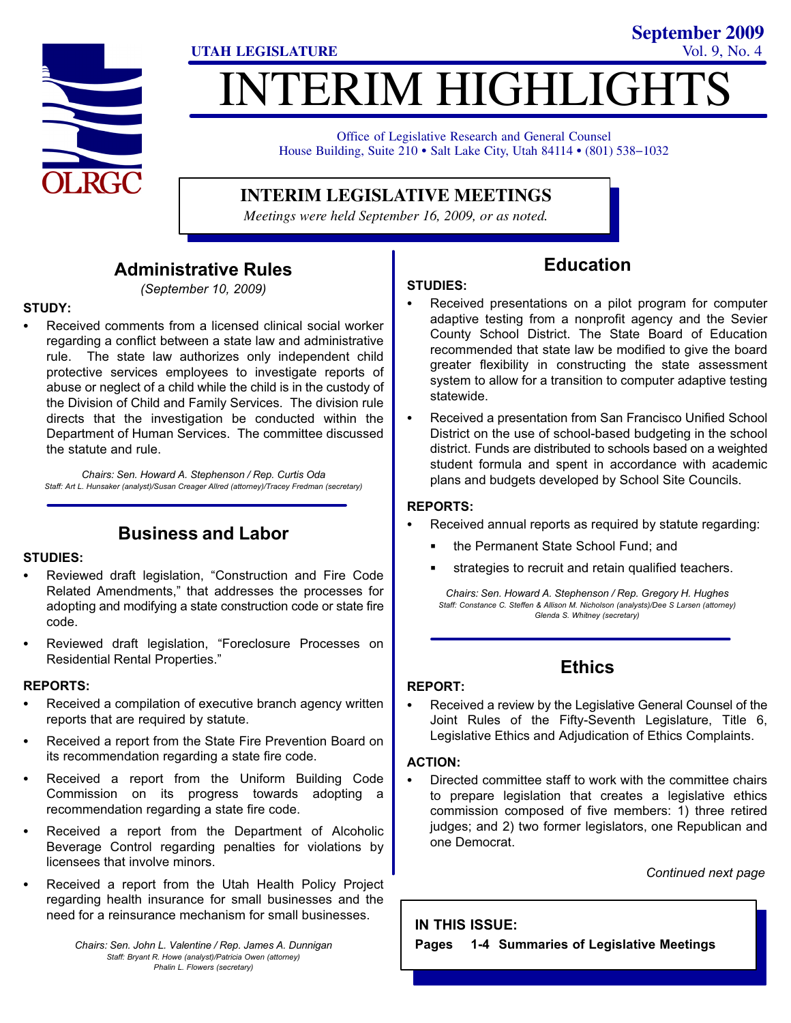

# NTERIM HIGHLIGHT **UTAH LEGISLATURE** Vol. 9, No. 4

Office of Legislative Research and General Counsel Office of Legislative Research and General Counsel<br>House Building, Suite 210 • Salt Lake City, Utah 84114 • (801) 538–1032

**INTERIM LEGISLATIVE MEETINGS**

*Meetings were held September 16, 2009, or as noted.*

#### Administrative Rules

(September 10, 2009)

### STUDY: -

 Received comments from a licensed clinical social worker regarding a conflict between a state law and administrative rule. The state law authorizes only independent child protective services employees to investigate reports of abuse or neglect of a child while the child is in the custody of the Division of Child and Family Services. The division rule directs that the investigation be conducted within the Department of Human Services. The committee discussed the statute and rule.

Chairs: Sen. Howard A. Stephenson / Rep. Curtis Oda Staff: Art L. Hunsaker (analyst)/Susan Creager Allred (attorney)/Tracey Fredman (secretary)

#### Business and Labor

## STUDIES:<br>-

- Reviewed draft legislation, "Construction and Fire Code Related Amendments," that addresses the processes for adopting and modifying a state construction code or state fire code.
- Reviewed draft legislation, "Foreclosure Processes on Residential Rental Properties."

### REPORTS:<br>—

- Received a compilation of executive branch agency written reports that are required by statute.
- Received a report from the State Fire Prevention Board on its recommendation regarding a state fire code.
- Received a report from the Uniform Building Code Commission on its progress towards adopting a recommendation regarding a state fire code.
- Received a report from the Department of Alcoholic Beverage Control regarding penalties for violations by licensees that involve minors.
- Received a report from the Utah Health Policy Project regarding health insurance for small businesses and the need for a reinsurance mechanism for small businesses.

Chairs: Sen. John L. Valentine / Rep. James A. Dunnigan Staff: Bryant R. Howe (analyst)/Patricia Owen (attorney) Phalin L. Flowers (secretary)

STUDIES: - Received presentations on a pilot program for computer adaptive testing from a nonprofit agency and the Sevier County School District. The State Board of Education recommended that state law be modified to give the board greater flexibility in constructing the state assessment system to allow for a transition to computer adaptive testing statewide.

Education

**September 2009**

 $\bullet$  Received a presentation from San Francisco Unified School District on the use of school−based budgeting in the school district. Funds are distributed to schools based on a weighted student formula and spent in accordance with academic plans and budgets developed by School Site Councils.

# REPORTS: -

- Received annual reports as required by statute regarding:
	- the Permanent State School Fund; and
	- strategies to recruit and retain qualified teachers.

Chairs: Sen. Howard A. Stephenson / Rep. Gregory H. Hughes Staff: Constance C. Steffen & Allison M. Nicholson (analysts)/Dee S Larsen (attorney) Glenda S. Whitney (secretary)

#### **Ethics**

# REPORT:<br>-

 Received a review by the Legislative General Counsel of the Joint Rules of the Fifty−Seventh Legislature, Title 6, Legislative Ethics and Adjudication of Ethics Complaints.

# ACTION:

 Directed committee staff to work with the committee chairs to prepare legislation that creates a legislative ethics commission composed of five members: 1) three retired judges; and 2) two former legislators, one Republican and one Democrat.

Continued next page

#### IN THIS ISSUE:

Pages 1−4 Summaries of Legislative Meetings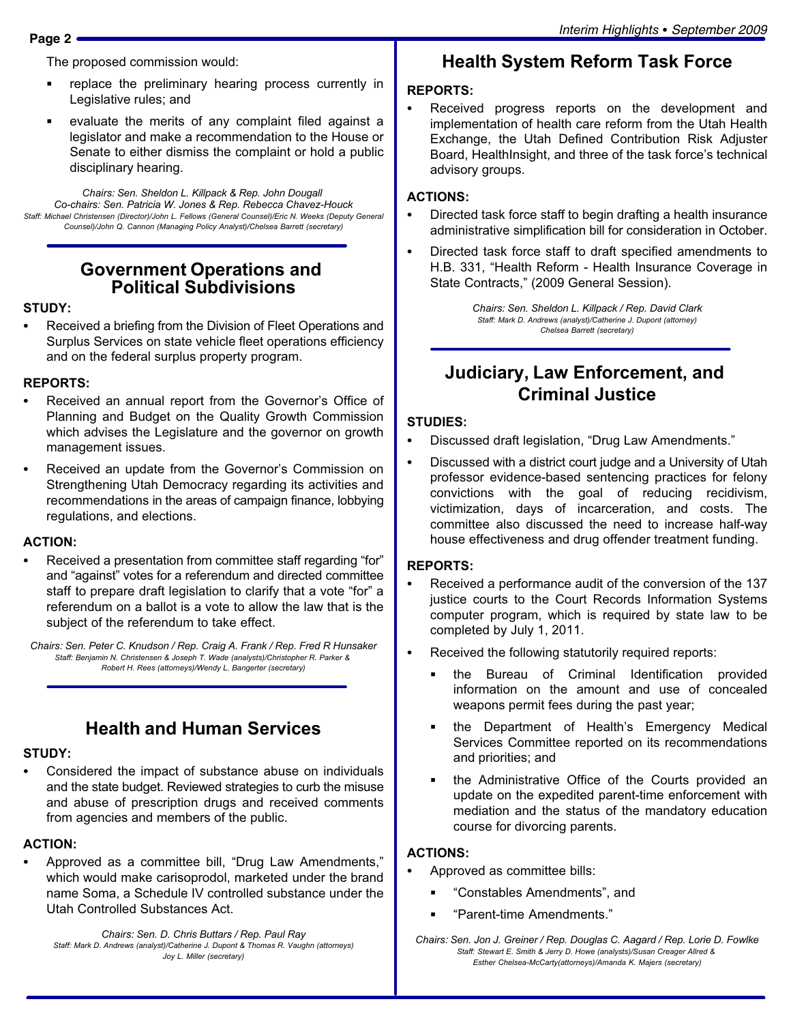The proposed commission would:

- replace the preliminary hearing process currently in Legislative rules; and
- evaluate the merits of any complaint filed against a legislator and make a recommendation to the House or Senate to either dismiss the complaint or hold a public disciplinary hearing.

Chairs: Sen. Sheldon L. Killpack & Rep. John Dougall Co−chairs: Sen. Patricia W. Jones & Rep. Rebecca Chavez−Houck Staff: Michael Christensen (Director)/John L. Fellows (General Counsel)/Eric N. Weeks (Deputy General Counsel)/John Q. Cannon (Managing Policy Analyst)/Chelsea Barrett (secretary)

#### Government Operations and Political Subdivisions

# STUDY:<br>\_\_

 Received a briefing from the Division of Fleet Operations and Surplus Services on state vehicle fleet operations efficiency and on the federal surplus property program.

# REPORTS: -

- Received an annual report from the Governor's Office of Planning and Budget on the Quality Growth Commission which advises the Legislature and the governor on growth management issues.
- Received an update from the Governor's Commission on Strengthening Utah Democracy regarding its activities and recommendations in the areas of campaign finance, lobbying regulations, and elections.

# ACTION: -

• Received a presentation from committee staff regarding "for" and "against" votes for a referendum and directed committee staff to prepare draft legislation to clarify that a vote "for" a referendum on a ballot is a vote to allow the law that is the subject of the referendum to take effect.

Chairs: Sen. Peter C. Knudson / Rep. Craig A. Frank / Rep. Fred R Hunsaker Staff: Benjamin N. Christensen & Joseph T. Wade (analysts)/Christopher R. Parker & Robert H. Rees (attorneys)/Wendy L. Bangerter (secretary)

#### Health and Human Services

# STUDY:

 Considered the impact of substance abuse on individuals and the state budget. Reviewed strategies to curb the misuse and abuse of prescription drugs and received comments from agencies and members of the public.

## ACTION: -

• Approved as a committee bill, "Drug Law Amendments," which would make carisoprodol, marketed under the brand name Soma, a Schedule IV controlled substance under the Utah Controlled Substances Act.

Chairs: Sen. D. Chris Buttars / Rep. Paul Ray Staff: Mark D. Andrews (analyst)/Catherine J. Dupont & Thomas R. Vaughn (attorneys) Joy L. Miller (secretary)

# Health System Reform Task Force

# REPORTS: -

 Received progress reports on the development and implementation of health care reform from the Utah Health Exchange, the Utah Defined Contribution Risk Adjuster Board, HealthInsight, and three of the task force's technical advisory groups.

#### ACTIONS:

- Directed task force staff to begin drafting a health insurance administrative simplification bill for consideration in October.
- Directed task force staff to draft specified amendments to H.B. 331, "Health Reform - Health Insurance Coverage in State Contracts," (2009 General Session).

Chairs: Sen. Sheldon L. Killpack / Rep. David Clark Staff: Mark D. Andrews (analyst)/Catherine J. Dupont (attorney) Chelsea Barrett (secretary)

#### Judiciary, Law Enforcement, and Criminal Justice

# STUDIES:<br>--

- Discussed draft legislation, "Drug Law Amendments."
- - Discussed with a district court judge and a University of Utah professor evidence−based sentencing practices for felony convictions with the goal of reducing recidivism, victimization, days of incarceration, and costs. The committee also discussed the need to increase half−way house effectiveness and drug offender treatment funding.

# REPORTS: -

- Received a performance audit of the conversion of the 137 justice courts to the Court Records Information Systems computer program, which is required by state law to be completed by July 1, 2011.
- Received the following statutorily required reports:
	- the Bureau of Criminal Identification provided information on the amount and use of concealed weapons permit fees during the past year;
	- the Department of Health's Emergency Medical Services Committee reported on its recommendations and priorities; and
	- the Administrative Office of the Courts provided an update on the expedited parent−time enforcement with mediation and the status of the mandatory education course for divorcing parents.

### ACTIONS: -

- Approved as committee bills:
	- -Constables Amendments", and
	- -Parent−time Amendments."

Chairs: Sen. Jon J. Greiner / Rep. Douglas C. Aagard / Rep. Lorie D. Fowlke Staff: Stewart E. Smith & Jerry D. Howe (analysts)/Susan Creager Allred & Esther Chelsea−McCarty(attorneys)/Amanda K. Majers (secretary)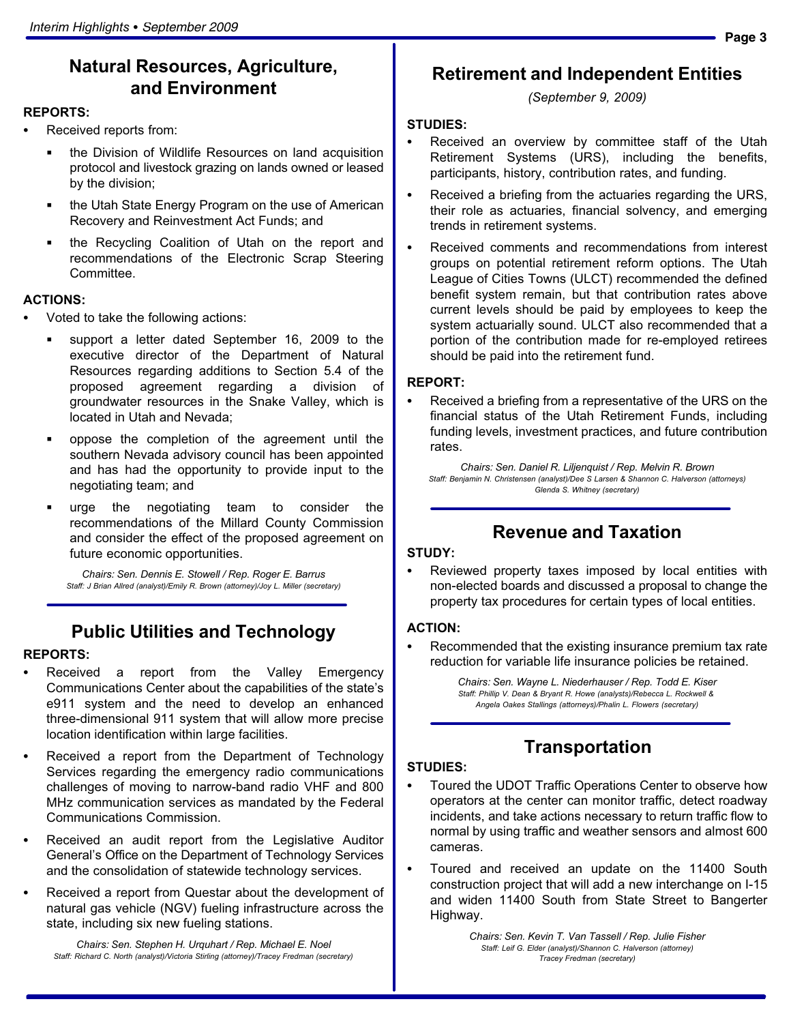#### Natural Resources, Agriculture, and Environment

#### REPORTS:<br>—

- Received reports from:
	- the Division of Wildlife Resources on land acquisition protocol and livestock grazing on lands owned or leased by the division;
	- the Utah State Energy Program on the use of American Recovery and Reinvestment Act Funds; and
	- the Recycling Coalition of Utah on the report and recommendations of the Electronic Scrap Steering Committee.

# ACTIONS: -

- Voted to take the following actions:
	- support a letter dated September 16, 2009 to the executive director of the Department of Natural Resources regarding additions to Section 5.4 of the proposed agreement regarding a division of groundwater resources in the Snake Valley, which is located in Utah and Nevada;
	- oppose the completion of the agreement until the southern Nevada advisory council has been appointed and has had the opportunity to provide input to the negotiating team; and
	- urge the negotiating team to consider the recommendations of the Millard County Commission and consider the effect of the proposed agreement on future economic opportunities.

Chairs: Sen. Dennis E. Stowell / Rep. Roger E. Barrus Staff: J Brian Allred (analyst)/Emily R. Brown (attorney)/Joy L. Miller (secretary)

#### Public Utilities and Technology

#### REPORTS: -

- Received a report from the Valley Emergency Communications Center about the capabilities of the state´s e911 system and the need to develop an enhanced three−dimensional 911 system that will allow more precise location identification within large facilities.
- Received a report from the Department of Technology Services regarding the emergency radio communications challenges of moving to narrow−band radio VHF and 800 MHz communication services as mandated by the Federal Communications Commission.
- Received an audit report from the Legislative Auditor General´s Office on the Department of Technology Services and the consolidation of statewide technology services.
- Received a report from Questar about the development of natural gas vehicle (NGV) fueling infrastructure across the state, including six new fueling stations.

Chairs: Sen. Stephen H. Urquhart / Rep. Michael E. Noel Staff: Richard C. North (analyst)/Victoria Stirling (attorney)/Tracey Fredman (secretary)

#### Retirement and Independent Entities

(September 9, 2009)

#### STUDIES: -

- Received an overview by committee staff of the Utah Retirement Systems (URS), including the benefits, participants, history, contribution rates, and funding.
- Received a briefing from the actuaries regarding the URS, their role as actuaries, financial solvency, and emerging trends in retirement systems.
- Received comments and recommendations from interest groups on potential retirement reform options. The Utah League of Cities Towns (ULCT) recommended the defined benefit system remain, but that contribution rates above current levels should be paid by employees to keep the system actuarially sound. ULCT also recommended that a portion of the contribution made for re−employed retirees should be paid into the retirement fund.

## REPORT:<br>-

 Received a briefing from a representative of the URS on the financial status of the Utah Retirement Funds, including funding levels, investment practices, and future contribution rates.

Chairs: Sen. Daniel R. Liljenquist / Rep. Melvin R. Brown Staff: Benjamin N. Christensen (analyst)/Dee S Larsen & Shannon C. Halverson (attorneys) Glenda S. Whitney (secretary)

#### Revenue and Taxation

#### STUDY:<br>-

 Reviewed property taxes imposed by local entities with non−elected boards and discussed a proposal to change the property tax procedures for certain types of local entities.

#### ACTION: -

 Recommended that the existing insurance premium tax rate reduction for variable life insurance policies be retained.

> Chairs: Sen. Wayne L. Niederhauser / Rep. Todd E. Kiser Staff: Phillip V. Dean & Bryant R. Howe (analysts)/Rebecca L. Rockwell & Angela Oakes Stallings (attorneys)/Phalin L. Flowers (secretary)

#### **Transportation**

## STUDIES: -

- Toured the UDOT Traffic Operations Center to observe how operators at the center can monitor traffic, detect roadway incidents, and take actions necessary to return traffic flow to normal by using traffic and weather sensors and almost 600 cameras.
- Toured and received an update on the 11400 South construction project that will add a new interchange on I−15 and widen 11400 South from State Street to Bangerter Highway.

Chairs: Sen. Kevin T. Van Tassell / Rep. Julie Fisher Staff: Leif G. Elder (analyst)/Shannon C. Halverson (attorney) Tracey Fredman (secretary)